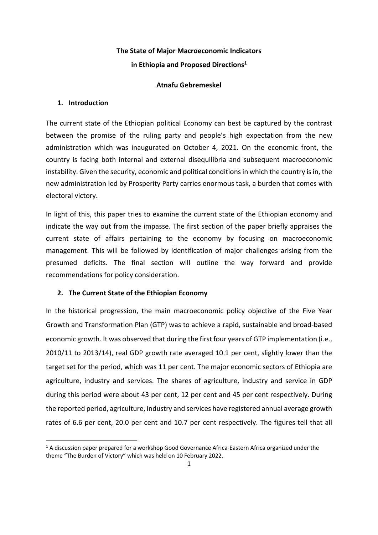# **The State of Major Macroeconomic Indicators in Ethiopia and Proposed Directions1**

## **Atnafu Gebremeskel**

## **1. Introduction**

The current state of the Ethiopian political Economy can best be captured by the contrast between the promise of the ruling party and people's high expectation from the new administration which was inaugurated on October 4, 2021. On the economic front, the country is facing both internal and external disequilibria and subsequent macroeconomic instability. Given the security, economic and political conditions in which the country is in, the new administration led by Prosperity Party carries enormous task, a burden that comes with electoral victory.

In light of this, this paper tries to examine the current state of the Ethiopian economy and indicate the way out from the impasse. The first section of the paper briefly appraises the current state of affairs pertaining to the economy by focusing on macroeconomic management. This will be followed by identification of major challenges arising from the presumed deficits. The final section will outline the way forward and provide recommendations for policy consideration.

# **2. The Current State of the Ethiopian Economy**

In the historical progression, the main macroeconomic policy objective of the Five Year Growth and Transformation Plan (GTP) was to achieve a rapid, sustainable and broad-based economic growth. It was observed that during the first four years of GTP implementation (i.e., 2010/11 to 2013/14), real GDP growth rate averaged 10.1 per cent, slightly lower than the target set for the period, which was 11 per cent. The major economic sectors of Ethiopia are agriculture, industry and services. The shares of agriculture, industry and service in GDP during this period were about 43 per cent, 12 per cent and 45 per cent respectively. During the reported period, agriculture, industry and services have registered annual average growth rates of 6.6 per cent, 20.0 per cent and 10.7 per cent respectively. The figures tell that all

 $1$  A discussion paper prepared for a workshop Good Governance Africa-Eastern Africa organized under the theme "The Burden of Victory" which was held on 10 February 2022.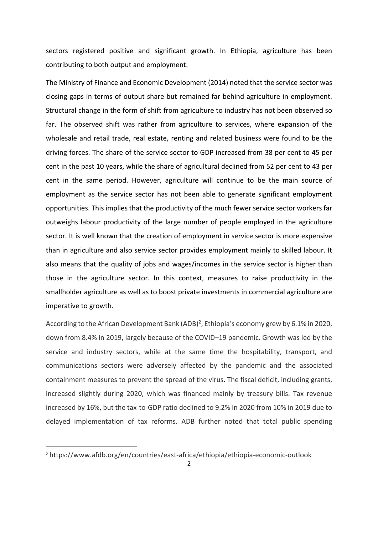sectors registered positive and significant growth. In Ethiopia, agriculture has been contributing to both output and employment.

The Ministry of Finance and Economic Development (2014) noted that the service sector was closing gaps in terms of output share but remained far behind agriculture in employment. Structural change in the form of shift from agriculture to industry has not been observed so far. The observed shift was rather from agriculture to services, where expansion of the wholesale and retail trade, real estate, renting and related business were found to be the driving forces. The share of the service sector to GDP increased from 38 per cent to 45 per cent in the past 10 years, while the share of agricultural declined from 52 per cent to 43 per cent in the same period. However, agriculture will continue to be the main source of employment as the service sector has not been able to generate significant employment opportunities. This implies that the productivity of the much fewer service sector workers far outweighs labour productivity of the large number of people employed in the agriculture sector. It is well known that the creation of employment in service sector is more expensive than in agriculture and also service sector provides employment mainly to skilled labour. It also means that the quality of jobs and wages/incomes in the service sector is higher than those in the agriculture sector. In this context, measures to raise productivity in the smallholder agriculture as well as to boost private investments in commercial agriculture are imperative to growth.

According to the African Development Bank (ADB)<sup>2</sup>, Ethiopia's economy grew by 6.1% in 2020, down from 8.4% in 2019, largely because of the COVID–19 pandemic. Growth was led by the service and industry sectors, while at the same time the hospitability, transport, and communications sectors were adversely affected by the pandemic and the associated containment measures to prevent the spread of the virus. The fiscal deficit, including grants, increased slightly during 2020, which was financed mainly by treasury bills. Tax revenue increased by 16%, but the tax-to-GDP ratio declined to 9.2% in 2020 from 10% in 2019 due to delayed implementation of tax reforms. ADB further noted that total public spending

<sup>2</sup> https://www.afdb.org/en/countries/east-africa/ethiopia/ethiopia-economic-outlook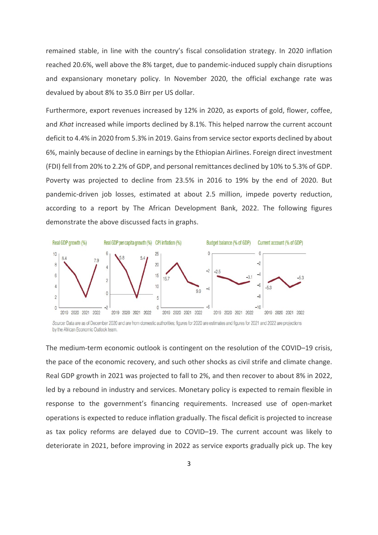remained stable, in line with the country's fiscal consolidation strategy. In 2020 inflation reached 20.6%, well above the 8% target, due to pandemic-induced supply chain disruptions and expansionary monetary policy. In November 2020, the official exchange rate was devalued by about 8% to 35.0 Birr per US dollar.

Furthermore, export revenues increased by 12% in 2020, as exports of gold, flower, coffee, and *Khat* increased while imports declined by 8.1%. This helped narrow the current account deficit to 4.4% in 2020 from 5.3% in 2019. Gains from service sector exports declined by about 6%, mainly because of decline in earnings by the Ethiopian Airlines. Foreign direct investment (FDI) fell from 20% to 2.2% of GDP, and personal remittances declined by 10% to 5.3% of GDP. Poverty was projected to decline from 23.5% in 2016 to 19% by the end of 2020. But pandemic-driven job losses, estimated at about 2.5 million, impede poverty reduction, according to a report by The African Development Bank, 2022. The following figures demonstrate the above discussed facts in graphs.



Source: Data are as of December 2020 and are from domestic authorities; figures for 2020 are estimates and figures for 2021 and 2022 are projections by the African Economic Outlook team.

The medium-term economic outlook is contingent on the resolution of the COVID–19 crisis, the pace of the economic recovery, and such other shocks as civil strife and climate change. Real GDP growth in 2021 was projected to fall to 2%, and then recover to about 8% in 2022, led by a rebound in industry and services. Monetary policy is expected to remain flexible in response to the government's financing requirements. Increased use of open-market operations is expected to reduce inflation gradually. The fiscal deficit is projected to increase as tax policy reforms are delayed due to COVID–19. The current account was likely to deteriorate in 2021, before improving in 2022 as service exports gradually pick up. The key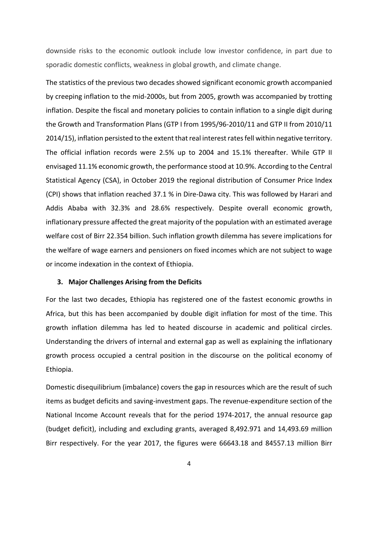downside risks to the economic outlook include low investor confidence, in part due to sporadic domestic conflicts, weakness in global growth, and climate change.

The statistics of the previous two decades showed significant economic growth accompanied by creeping inflation to the mid-2000s, but from 2005, growth was accompanied by trotting inflation. Despite the fiscal and monetary policies to contain inflation to a single digit during the Growth and Transformation Plans (GTP I from 1995/96-2010/11 and GTP II from 2010/11 2014/15), inflation persisted to the extent that real interest rates fell within negative territory. The official inflation records were 2.5% up to 2004 and 15.1% thereafter. While GTP II envisaged 11.1% economic growth, the performance stood at 10.9%. According to the Central Statistical Agency (CSA), in October 2019 the regional distribution of Consumer Price Index (CPI) shows that inflation reached 37.1 % in Dire-Dawa city. This was followed by Harari and Addis Ababa with 32.3% and 28.6% respectively. Despite overall economic growth, inflationary pressure affected the great majority of the population with an estimated average welfare cost of Birr 22.354 billion. Such inflation growth dilemma has severe implications for the welfare of wage earners and pensioners on fixed incomes which are not subject to wage or income indexation in the context of Ethiopia.

## **3. Major Challenges Arising from the Deficits**

For the last two decades, Ethiopia has registered one of the fastest economic growths in Africa, but this has been accompanied by double digit inflation for most of the time. This growth inflation dilemma has led to heated discourse in academic and political circles. Understanding the drivers of internal and external gap as well as explaining the inflationary growth process occupied a central position in the discourse on the political economy of Ethiopia.

Domestic disequilibrium (imbalance) covers the gap in resources which are the result of such items as budget deficits and saving-investment gaps. The revenue-expenditure section of the National Income Account reveals that for the period 1974-2017, the annual resource gap (budget deficit), including and excluding grants, averaged 8,492.971 and 14,493.69 million Birr respectively. For the year 2017, the figures were 66643.18 and 84557.13 million Birr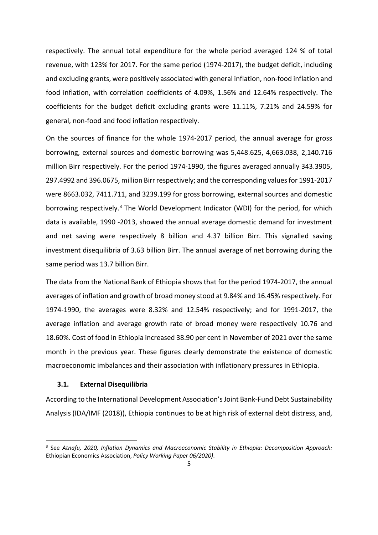respectively. The annual total expenditure for the whole period averaged 124 % of total revenue, with 123% for 2017. For the same period (1974-2017), the budget deficit, including and excluding grants, were positively associated with general inflation, non-food inflation and food inflation, with correlation coefficients of 4.09%, 1.56% and 12.64% respectively. The coefficients for the budget deficit excluding grants were 11.11%, 7.21% and 24.59% for general, non-food and food inflation respectively.

On the sources of finance for the whole 1974-2017 period, the annual average for gross borrowing, external sources and domestic borrowing was 5,448.625, 4,663.038, 2,140.716 million Birr respectively. For the period 1974-1990, the figures averaged annually 343.3905, 297.4992 and 396.0675, million Birr respectively; and the corresponding values for 1991-2017 were 8663.032, 7411.711, and 3239.199 for gross borrowing, external sources and domestic borrowing respectively.<sup>3</sup> The World Development Indicator (WDI) for the period, for which data is available, 1990 -2013, showed the annual average domestic demand for investment and net saving were respectively 8 billion and 4.37 billion Birr. This signalled saving investment disequilibria of 3.63 billion Birr. The annual average of net borrowing during the same period was 13.7 billion Birr.

The data from the National Bank of Ethiopia shows that for the period 1974-2017, the annual averages of inflation and growth of broad money stood at 9.84% and 16.45% respectively. For 1974-1990, the averages were 8.32% and 12.54% respectively; and for 1991-2017, the average inflation and average growth rate of broad money were respectively 10.76 and 18.60%. Cost of food in Ethiopia increased 38.90 per cent in November of 2021 over the same month in the previous year. These figures clearly demonstrate the existence of domestic macroeconomic imbalances and their association with inflationary pressures in Ethiopia.

#### **3.1. External Disequilibria**

According to the International Development Association's Joint Bank-Fund Debt Sustainability Analysis (IDA/IMF (2018)), Ethiopia continues to be at high risk of external debt distress, and,

<sup>3</sup> See *Atnafu, 2020, Inflation Dynamics and Macroeconomic Stability in Ethiopia: Decomposition Approach:* Ethiopian Economics Association, *Policy Working Paper 06/2020)*.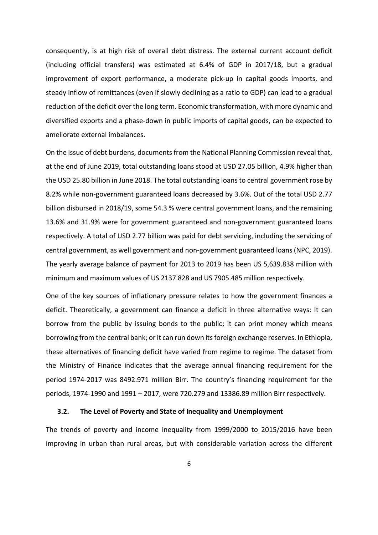consequently, is at high risk of overall debt distress. The external current account deficit (including official transfers) was estimated at 6.4% of GDP in 2017/18, but a gradual improvement of export performance, a moderate pick-up in capital goods imports, and steady inflow of remittances (even if slowly declining as a ratio to GDP) can lead to a gradual reduction of the deficit over the long term. Economic transformation, with more dynamic and diversified exports and a phase-down in public imports of capital goods, can be expected to ameliorate external imbalances.

On the issue of debt burdens, documents from the National Planning Commission reveal that, at the end of June 2019, total outstanding loans stood at USD 27.05 billion, 4.9% higher than the USD 25.80 billion in June 2018. The total outstanding loans to central government rose by 8.2% while non-government guaranteed loans decreased by 3.6%. Out of the total USD 2.77 billion disbursed in 2018/19, some 54.3 % were central government loans, and the remaining 13.6% and 31.9% were for government guaranteed and non-government guaranteed loans respectively. A total of USD 2.77 billion was paid for debt servicing, including the servicing of central government, as well government and non-government guaranteed loans (NPC, 2019). The yearly average balance of payment for 2013 to 2019 has been US 5,639.838 million with minimum and maximum values of US 2137.828 and US 7905.485 million respectively.

One of the key sources of inflationary pressure relates to how the government finances a deficit. Theoretically, a government can finance a deficit in three alternative ways: It can borrow from the public by issuing bonds to the public; it can print money which means borrowing from the central bank; or it can run down its foreign exchange reserves. In Ethiopia, these alternatives of financing deficit have varied from regime to regime. The dataset from the Ministry of Finance indicates that the average annual financing requirement for the period 1974-2017 was 8492.971 million Birr. The country's financing requirement for the periods, 1974-1990 and 1991 – 2017, were 720.279 and 13386.89 million Birr respectively.

#### **3.2. The Level of Poverty and State of Inequality and Unemployment**

The trends of poverty and income inequality from 1999/2000 to 2015/2016 have been improving in urban than rural areas, but with considerable variation across the different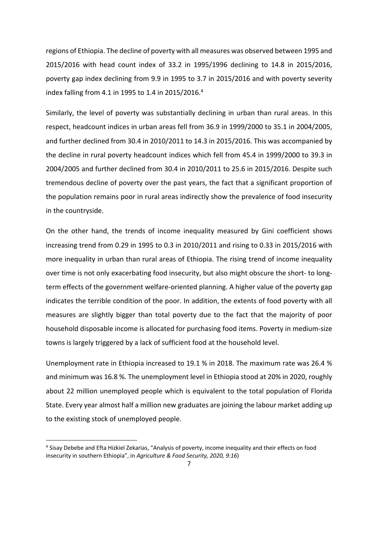regions of Ethiopia. The decline of poverty with all measures was observed between 1995 and 2015/2016 with head count index of 33.2 in 1995/1996 declining to 14.8 in 2015/2016, poverty gap index declining from 9.9 in 1995 to 3.7 in 2015/2016 and with poverty severity index falling from 4.1 in 1995 to 1.4 in 2015/2016.4

Similarly, the level of poverty was substantially declining in urban than rural areas. In this respect, headcount indices in urban areas fell from 36.9 in 1999/2000 to 35.1 in 2004/2005, and further declined from 30.4 in 2010/2011 to 14.3 in 2015/2016. This was accompanied by the decline in rural poverty headcount indices which fell from 45.4 in 1999/2000 to 39.3 in 2004/2005 and further declined from 30.4 in 2010/2011 to 25.6 in 2015/2016. Despite such tremendous decline of poverty over the past years, the fact that a significant proportion of the population remains poor in rural areas indirectly show the prevalence of food insecurity in the countryside.

On the other hand, the trends of income inequality measured by Gini coefficient shows increasing trend from 0.29 in 1995 to 0.3 in 2010/2011 and rising to 0.33 in 2015/2016 with more inequality in urban than rural areas of Ethiopia. The rising trend of income inequality over time is not only exacerbating food insecurity, but also might obscure the short- to longterm effects of the government welfare-oriented planning. A higher value of the poverty gap indicates the terrible condition of the poor. In addition, the extents of food poverty with all measures are slightly bigger than total poverty due to the fact that the majority of poor household disposable income is allocated for purchasing food items. Poverty in medium-size towns is largely triggered by a lack of sufficient food at the household level.

Unemployment rate in Ethiopia increased to 19.1 % in 2018. The maximum rate was 26.4 % and minimum was 16.8 %. The unemployment level in Ethiopia stood at 20% in 2020, roughly about 22 million unemployed people which is equivalent to the total population of Florida State. Every year almost half a million new graduates are joining the labour market adding up to the existing stock of unemployed people.

<sup>4</sup> Sisay Debebe and Efta Hizkiel Zekarias, "Analysis of poverty, income inequality and their effects on food insecurity in southern Ethiopia", in *Agriculture & Food Security, 2020, 9:16*)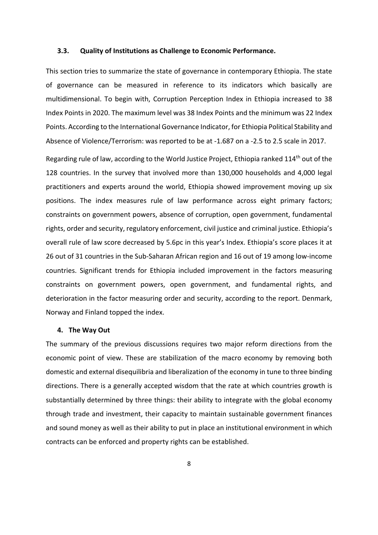#### **3.3. Quality of Institutions as Challenge to Economic Performance.**

This section tries to summarize the state of governance in contemporary Ethiopia. The state of governance can be measured in reference to its indicators which basically are multidimensional. To begin with, Corruption Perception Index in Ethiopia increased to 38 Index Points in 2020. The maximum level was 38 Index Points and the minimum was 22 Index Points. According to the International Governance Indicator, for Ethiopia Political Stability and Absence of Violence/Terrorism: was reported to be at -1.687 on a -2.5 to 2.5 scale in 2017.

Regarding rule of law, according to the World Justice Project, Ethiopia ranked 114<sup>th</sup> out of the 128 countries. In the survey that involved more than 130,000 households and 4,000 legal practitioners and experts around the world, Ethiopia showed improvement moving up six positions. The index measures rule of law performance across eight primary factors; constraints on government powers, absence of corruption, open government, fundamental rights, order and security, regulatory enforcement, civil justice and criminal justice. Ethiopia's overall rule of law score decreased by 5.6pc in this year's Index. Ethiopia's score places it at 26 out of 31 countries in the Sub-Saharan African region and 16 out of 19 among low-income countries. Significant trends for Ethiopia included improvement in the factors measuring constraints on government powers, open government, and fundamental rights, and deterioration in the factor measuring order and security, according to the report. Denmark, Norway and Finland topped the index.

## **4. The Way Out**

The summary of the previous discussions requires two major reform directions from the economic point of view. These are stabilization of the macro economy by removing both domestic and external disequilibria and liberalization of the economy in tune to three binding directions. There is a generally accepted wisdom that the rate at which countries growth is substantially determined by three things: their ability to integrate with the global economy through trade and investment, their capacity to maintain sustainable government finances and sound money as well as their ability to put in place an institutional environment in which contracts can be enforced and property rights can be established.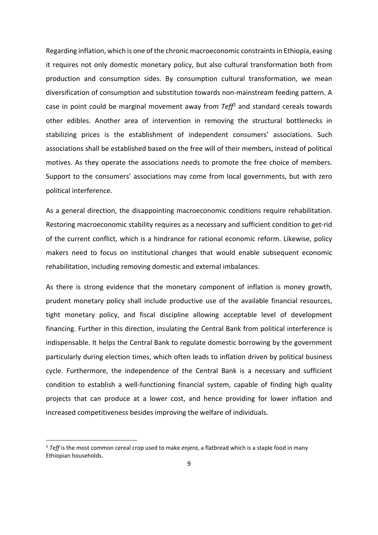Regarding inflation, which is one of the chronic macroeconomic constraints in Ethiopia, easing it requires not only domestic monetary policy, but also cultural transformation both from production and consumption sides. By consumption cultural transformation, we mean diversification of consumption and substitution towards non-mainstream feeding pattern. A case in point could be marginal movement away from *Teff5* and standard cereals towards other edibles. Another area of intervention in removing the structural bottlenecks in stabilizing prices is the establishment of independent consumers' associations. Such associations shall be established based on the free will of their members, instead of political motives. As they operate the associations needs to promote the free choice of members. Support to the consumers' associations may come from local governments, but with zero political interference.

As a general direction, the disappointing macroeconomic conditions require rehabilitation. Restoring macroeconomic stability requires as a necessary and sufficient condition to get-rid of the current conflict, which is a hindrance for rational economic reform. Likewise, policy makers need to focus on institutional changes that would enable subsequent economic rehabilitation, including removing domestic and external imbalances.

As there is strong evidence that the monetary component of inflation is money growth, prudent monetary policy shall include productive use of the available financial resources, tight monetary policy, and fiscal discipline allowing acceptable level of development financing. Further in this direction, insulating the Central Bank from political interference is indispensable. It helps the Central Bank to regulate domestic borrowing by the government particularly during election times, which often leads to inflation driven by political business cycle. Furthermore, the independence of the Central Bank is a necessary and sufficient condition to establish a well-functioning financial system, capable of finding high quality projects that can produce at a lower cost, and hence providing for lower inflation and increased competitiveness besides improving the welfare of individuals.

<sup>5</sup> *Teff* is the most common cereal crop used to make *enjera*, a flatbread which is a staple food in many Ethiopian households.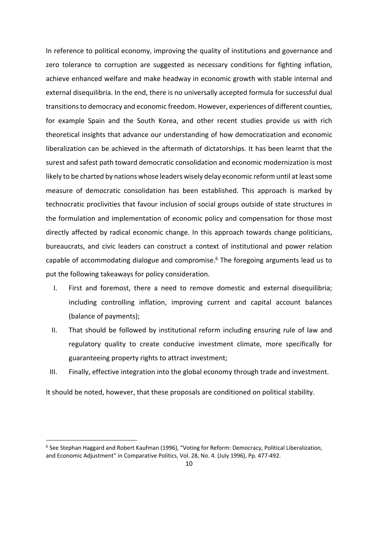In reference to political economy, improving the quality of institutions and governance and zero tolerance to corruption are suggested as necessary conditions for fighting inflation, achieve enhanced welfare and make headway in economic growth with stable internal and external disequilibria. In the end, there is no universally accepted formula for successful dual transitions to democracy and economic freedom. However, experiences of different counties, for example Spain and the South Korea, and other recent studies provide us with rich theoretical insights that advance our understanding of how democratization and economic liberalization can be achieved in the aftermath of dictatorships. It has been learnt that the surest and safest path toward democratic consolidation and economic modernization is most likely to be charted by nations whose leaders wisely delay economic reform until at least some measure of democratic consolidation has been established. This approach is marked by technocratic proclivities that favour inclusion of social groups outside of state structures in the formulation and implementation of economic policy and compensation for those most directly affected by radical economic change. In this approach towards change politicians, bureaucrats, and civic leaders can construct a context of institutional and power relation capable of accommodating dialogue and compromise.<sup>6</sup> The foregoing arguments lead us to put the following takeaways for policy consideration.

- I. First and foremost, there a need to remove domestic and external disequilibria; including controlling inflation, improving current and capital account balances (balance of payments);
- II. That should be followed by institutional reform including ensuring rule of law and regulatory quality to create conducive investment climate, more specifically for guaranteeing property rights to attract investment;

III. Finally, effective integration into the global economy through trade and investment.

It should be noted, however, that these proposals are conditioned on political stability.

<sup>6</sup> See Stephan Haggard and Robert Kaufman (1996), "Voting for Reform: Democracy, Political Liberalization, and Economic Adjustment" in Comparative Politics, Vol. 28, No. 4. (July 1996), Pp. 477-492.